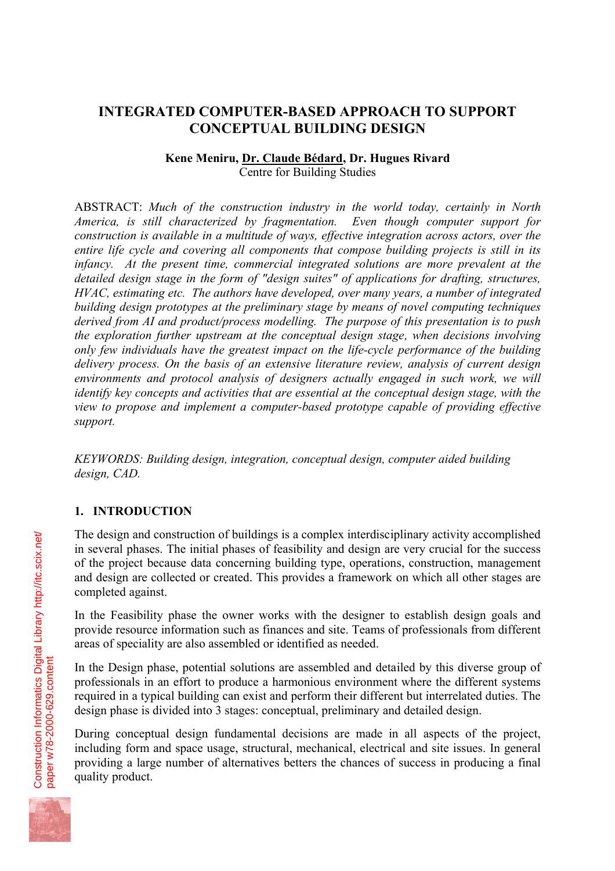# **INTEGRATED COMPUTER-BASED APPROACH TO SUPPORT CONCEPTUAL BUILDING DESIGN**

#### **Kene Meniru, Dr. Claude Bédard, Dr. Hugues Rivard**  Centre for Building Studies

ABSTRACT: *Much of the construction industry in the world today, certainly in North America, is still characterized by fragmentation. Even though computer support for construction is available in a multitude of ways, effective integration across actors, over the entire life cycle and covering all components that compose building projects is still in its infancy. At the present time, commercial integrated solutions are more prevalent at the detailed design stage in the form of "design suites" of applications for drafting, structures, HVAC, estimating etc. The authors have developed, over many years, a number of integrated building design prototypes at the preliminary stage by means of novel computing techniques derived from AI and product/process modelling. The purpose of this presentation is to push the exploration further upstream at the conceptual design stage, when decisions involving only few individuals have the greatest impact on the life-cycle performance of the building delivery process. On the basis of an extensive literature review, analysis of current design environments and protocol analysis of designers actually engaged in such work, we will identify key concepts and activities that are essential at the conceptual design stage, with the view to propose and implement a computer-based prototype capable of providing effective support.* 

*KEYWORDS: Building design, integration, conceptual design, computer aided building design, CAD.* 

#### **1. INTRODUCTION**

The design and construction of buildings is a complex interdisciplinary activity accomplished in several phases. The initial phases of feasibility and design are very crucial for the success of the project because data concerning building type, operations, construction, management and design are collected or created. This provides a framework on which all other stages are completed against.

In the Feasibility phase the owner works with the designer to establish design goals and provide resource information such as finances and site. Teams of professionals from different areas of speciality are also assembled or identified as needed.

In the Design phase, potential solutions are assembled and detailed by this diverse group of professionals in an effort to produce a harmonious environment where the different systems required in a typical building can exist and perform their different but interrelated duties. The design phase is divided into 3 stages: conceptual, preliminary and detailed design.

During conceptual design fundamental decisions are made in all aspects of the project, including form and space usage, structural, mechanical, electrical and site issues. In general providing a large number of alternatives betters the chances of success in producing a final quality product.

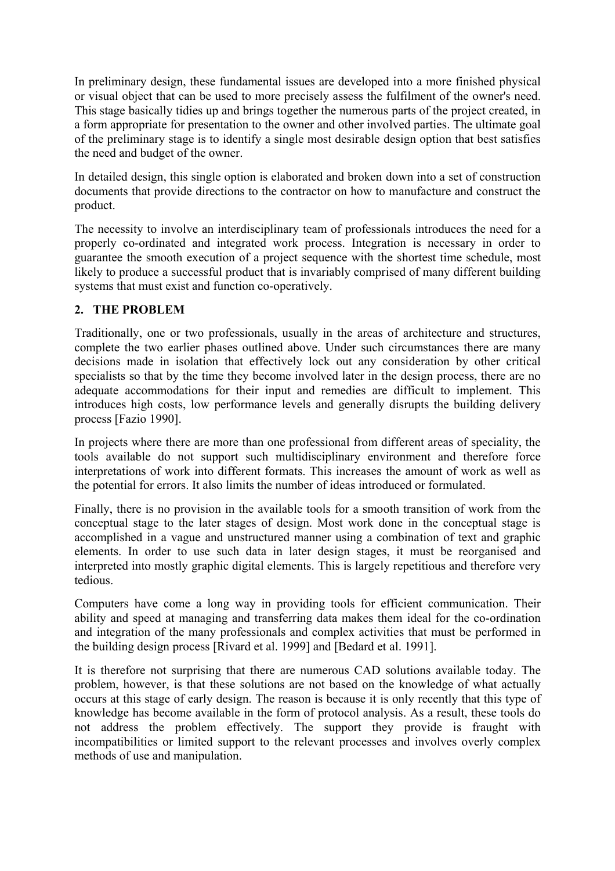In preliminary design, these fundamental issues are developed into a more finished physical or visual object that can be used to more precisely assess the fulfilment of the owner's need. This stage basically tidies up and brings together the numerous parts of the project created, in a form appropriate for presentation to the owner and other involved parties. The ultimate goal of the preliminary stage is to identify a single most desirable design option that best satisfies the need and budget of the owner.

In detailed design, this single option is elaborated and broken down into a set of construction documents that provide directions to the contractor on how to manufacture and construct the product.

The necessity to involve an interdisciplinary team of professionals introduces the need for a properly co-ordinated and integrated work process. Integration is necessary in order to guarantee the smooth execution of a project sequence with the shortest time schedule, most likely to produce a successful product that is invariably comprised of many different building systems that must exist and function co-operatively.

### **2. THE PROBLEM**

Traditionally, one or two professionals, usually in the areas of architecture and structures, complete the two earlier phases outlined above. Under such circumstances there are many decisions made in isolation that effectively lock out any consideration by other critical specialists so that by the time they become involved later in the design process, there are no adequate accommodations for their input and remedies are difficult to implement. This introduces high costs, low performance levels and generally disrupts the building delivery process [Fazio 1990].

In projects where there are more than one professional from different areas of speciality, the tools available do not support such multidisciplinary environment and therefore force interpretations of work into different formats. This increases the amount of work as well as the potential for errors. It also limits the number of ideas introduced or formulated.

Finally, there is no provision in the available tools for a smooth transition of work from the conceptual stage to the later stages of design. Most work done in the conceptual stage is accomplished in a vague and unstructured manner using a combination of text and graphic elements. In order to use such data in later design stages, it must be reorganised and interpreted into mostly graphic digital elements. This is largely repetitious and therefore very tedious.

Computers have come a long way in providing tools for efficient communication. Their ability and speed at managing and transferring data makes them ideal for the co-ordination and integration of the many professionals and complex activities that must be performed in the building design process [Rivard et al. 1999] and [Bedard et al. 1991].

It is therefore not surprising that there are numerous CAD solutions available today. The problem, however, is that these solutions are not based on the knowledge of what actually occurs at this stage of early design. The reason is because it is only recently that this type of knowledge has become available in the form of protocol analysis. As a result, these tools do not address the problem effectively. The support they provide is fraught with incompatibilities or limited support to the relevant processes and involves overly complex methods of use and manipulation.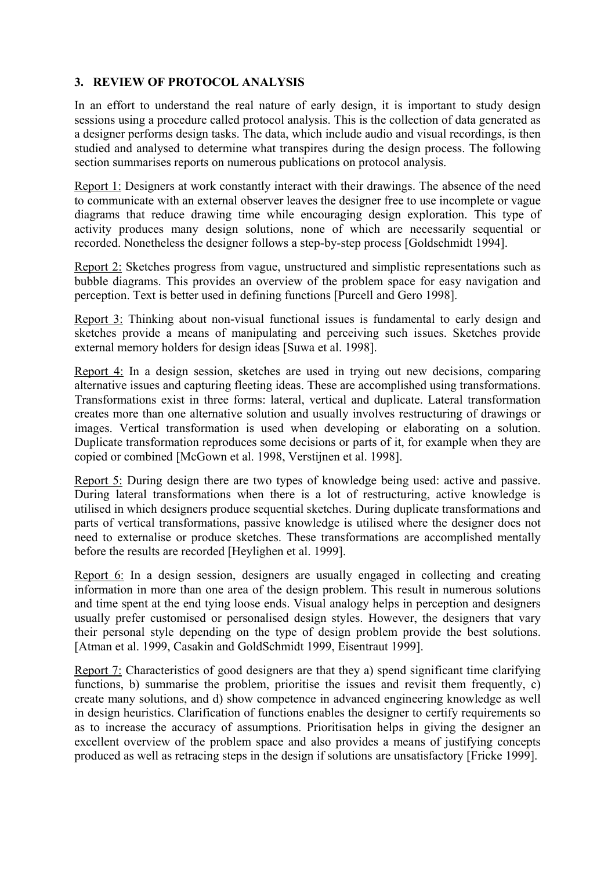### **3. REVIEW OF PROTOCOL ANALYSIS**

In an effort to understand the real nature of early design, it is important to study design sessions using a procedure called protocol analysis. This is the collection of data generated as a designer performs design tasks. The data, which include audio and visual recordings, is then studied and analysed to determine what transpires during the design process. The following section summarises reports on numerous publications on protocol analysis.

Report 1: Designers at work constantly interact with their drawings. The absence of the need to communicate with an external observer leaves the designer free to use incomplete or vague diagrams that reduce drawing time while encouraging design exploration. This type of activity produces many design solutions, none of which are necessarily sequential or recorded. Nonetheless the designer follows a step-by-step process [Goldschmidt 1994].

Report 2: Sketches progress from vague, unstructured and simplistic representations such as bubble diagrams. This provides an overview of the problem space for easy navigation and perception. Text is better used in defining functions [Purcell and Gero 1998].

Report 3: Thinking about non-visual functional issues is fundamental to early design and sketches provide a means of manipulating and perceiving such issues. Sketches provide external memory holders for design ideas [Suwa et al. 1998].

Report 4: In a design session, sketches are used in trying out new decisions, comparing alternative issues and capturing fleeting ideas. These are accomplished using transformations. Transformations exist in three forms: lateral, vertical and duplicate. Lateral transformation creates more than one alternative solution and usually involves restructuring of drawings or images. Vertical transformation is used when developing or elaborating on a solution. Duplicate transformation reproduces some decisions or parts of it, for example when they are copied or combined [McGown et al. 1998, Verstijnen et al. 1998].

Report 5: During design there are two types of knowledge being used: active and passive. During lateral transformations when there is a lot of restructuring, active knowledge is utilised in which designers produce sequential sketches. During duplicate transformations and parts of vertical transformations, passive knowledge is utilised where the designer does not need to externalise or produce sketches. These transformations are accomplished mentally before the results are recorded [Heylighen et al. 1999].

Report 6: In a design session, designers are usually engaged in collecting and creating information in more than one area of the design problem. This result in numerous solutions and time spent at the end tying loose ends. Visual analogy helps in perception and designers usually prefer customised or personalised design styles. However, the designers that vary their personal style depending on the type of design problem provide the best solutions. [Atman et al. 1999, Casakin and GoldSchmidt 1999, Eisentraut 1999].

Report 7: Characteristics of good designers are that they a) spend significant time clarifying functions, b) summarise the problem, prioritise the issues and revisit them frequently, c) create many solutions, and d) show competence in advanced engineering knowledge as well in design heuristics. Clarification of functions enables the designer to certify requirements so as to increase the accuracy of assumptions. Prioritisation helps in giving the designer an excellent overview of the problem space and also provides a means of justifying concepts produced as well as retracing steps in the design if solutions are unsatisfactory [Fricke 1999].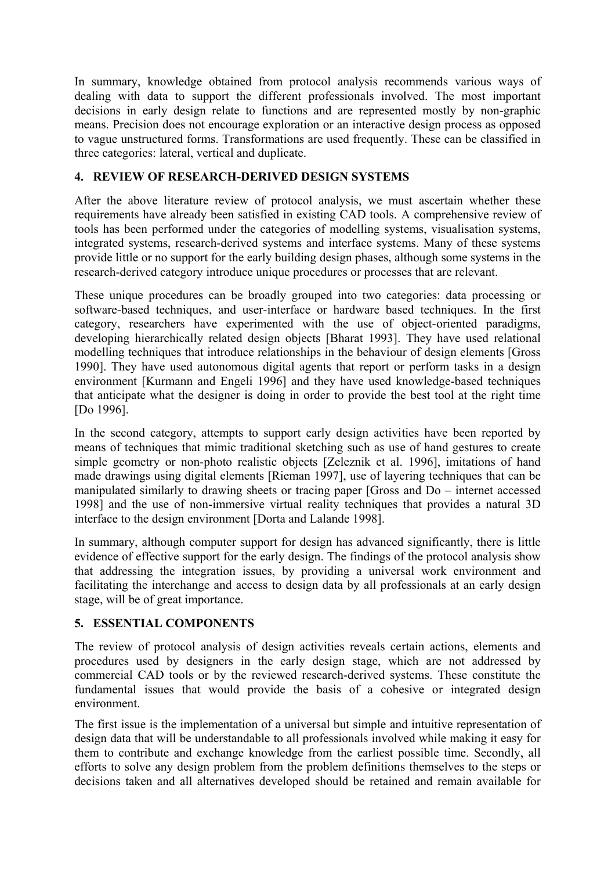In summary, knowledge obtained from protocol analysis recommends various ways of dealing with data to support the different professionals involved. The most important decisions in early design relate to functions and are represented mostly by non-graphic means. Precision does not encourage exploration or an interactive design process as opposed to vague unstructured forms. Transformations are used frequently. These can be classified in three categories: lateral, vertical and duplicate.

#### **4. REVIEW OF RESEARCH-DERIVED DESIGN SYSTEMS**

After the above literature review of protocol analysis, we must ascertain whether these requirements have already been satisfied in existing CAD tools. A comprehensive review of tools has been performed under the categories of modelling systems, visualisation systems, integrated systems, research-derived systems and interface systems. Many of these systems provide little or no support for the early building design phases, although some systems in the research-derived category introduce unique procedures or processes that are relevant.

These unique procedures can be broadly grouped into two categories: data processing or software-based techniques, and user-interface or hardware based techniques. In the first category, researchers have experimented with the use of object-oriented paradigms, developing hierarchically related design objects [Bharat 1993]. They have used relational modelling techniques that introduce relationships in the behaviour of design elements [Gross 1990]. They have used autonomous digital agents that report or perform tasks in a design environment [Kurmann and Engeli 1996] and they have used knowledge-based techniques that anticipate what the designer is doing in order to provide the best tool at the right time [Do 1996].

In the second category, attempts to support early design activities have been reported by means of techniques that mimic traditional sketching such as use of hand gestures to create simple geometry or non-photo realistic objects [Zeleznik et al. 1996], imitations of hand made drawings using digital elements [Rieman 1997], use of layering techniques that can be manipulated similarly to drawing sheets or tracing paper [Gross and Do – internet accessed 1998] and the use of non-immersive virtual reality techniques that provides a natural 3D interface to the design environment [Dorta and Lalande 1998].

In summary, although computer support for design has advanced significantly, there is little evidence of effective support for the early design. The findings of the protocol analysis show that addressing the integration issues, by providing a universal work environment and facilitating the interchange and access to design data by all professionals at an early design stage, will be of great importance.

#### **5. ESSENTIAL COMPONENTS**

The review of protocol analysis of design activities reveals certain actions, elements and procedures used by designers in the early design stage, which are not addressed by commercial CAD tools or by the reviewed research-derived systems. These constitute the fundamental issues that would provide the basis of a cohesive or integrated design environment.

The first issue is the implementation of a universal but simple and intuitive representation of design data that will be understandable to all professionals involved while making it easy for them to contribute and exchange knowledge from the earliest possible time. Secondly, all efforts to solve any design problem from the problem definitions themselves to the steps or decisions taken and all alternatives developed should be retained and remain available for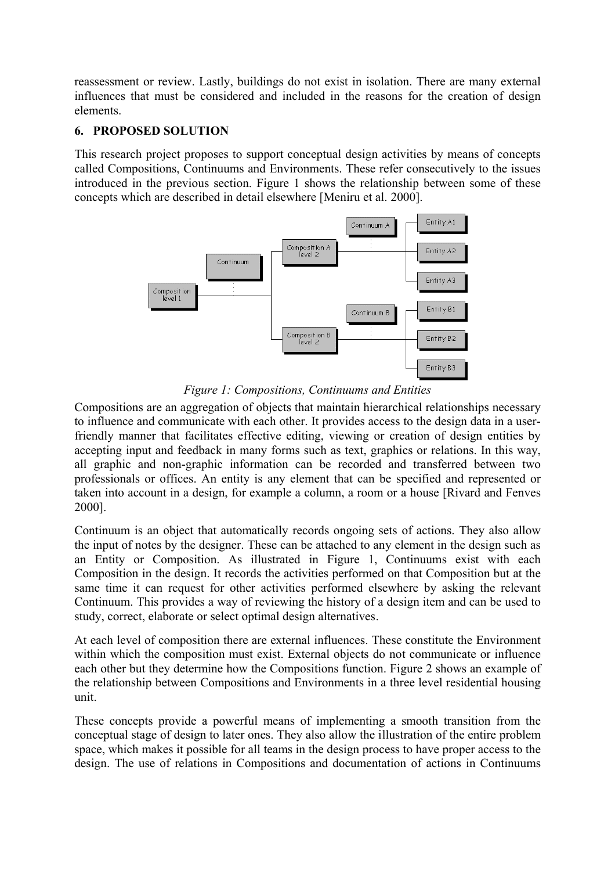reassessment or review. Lastly, buildings do not exist in isolation. There are many external influences that must be considered and included in the reasons for the creation of design elements.

#### **6. PROPOSED SOLUTION**

This research project proposes to support conceptual design activities by means of concepts called Compositions, Continuums and Environments. These refer consecutively to the issues introduced in the previous section. Figure 1 shows the relationship between some of these concepts which are described in detail elsewhere [Meniru et al. 2000].



*Figure 1: Compositions, Continuums and Entities*

Compositions are an aggregation of objects that maintain hierarchical relationships necessary to influence and communicate with each other. It provides access to the design data in a userfriendly manner that facilitates effective editing, viewing or creation of design entities by accepting input and feedback in many forms such as text, graphics or relations. In this way, all graphic and non-graphic information can be recorded and transferred between two professionals or offices. An entity is any element that can be specified and represented or taken into account in a design, for example a column, a room or a house [Rivard and Fenves 2000].

Continuum is an object that automatically records ongoing sets of actions. They also allow the input of notes by the designer. These can be attached to any element in the design such as an Entity or Composition. As illustrated in Figure 1, Continuums exist with each Composition in the design. It records the activities performed on that Composition but at the same time it can request for other activities performed elsewhere by asking the relevant Continuum. This provides a way of reviewing the history of a design item and can be used to study, correct, elaborate or select optimal design alternatives.

At each level of composition there are external influences. These constitute the Environment within which the composition must exist. External objects do not communicate or influence each other but they determine how the Compositions function. Figure 2 shows an example of the relationship between Compositions and Environments in a three level residential housing unit.

These concepts provide a powerful means of implementing a smooth transition from the conceptual stage of design to later ones. They also allow the illustration of the entire problem space, which makes it possible for all teams in the design process to have proper access to the design. The use of relations in Compositions and documentation of actions in Continuums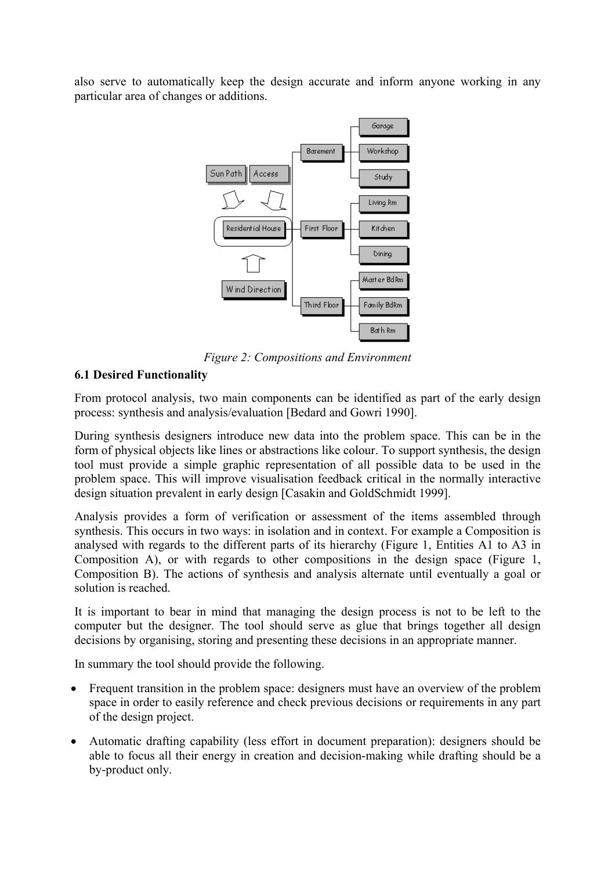also serve to automatically keep the design accurate and inform anyone working in any particular area of changes or additions.



*Figure 2: Compositions and Environment*

#### **6.1 Desired Functionality**

From protocol analysis, two main components can be identified as part of the early design process: synthesis and analysis/evaluation [Bedard and Gowri 1990].

During synthesis designers introduce new data into the problem space. This can be in the form of physical objects like lines or abstractions like colour. To support synthesis, the design tool must provide a simple graphic representation of all possible data to be used in the problem space. This will improve visualisation feedback critical in the normally interactive design situation prevalent in early design [Casakin and GoldSchmidt 1999].

Analysis provides a form of verification or assessment of the items assembled through synthesis. This occurs in two ways: in isolation and in context. For example a Composition is analysed with regards to the different parts of its hierarchy (Figure 1, Entities A1 to A3 in Composition A), or with regards to other compositions in the design space (Figure 1, Composition B). The actions of synthesis and analysis alternate until eventually a goal or solution is reached.

It is important to bear in mind that managing the design process is not to be left to the computer but the designer. The tool should serve as glue that brings together all design decisions by organising, storing and presenting these decisions in an appropriate manner.

In summary the tool should provide the following.

- Frequent transition in the problem space: designers must have an overview of the problem space in order to easily reference and check previous decisions or requirements in any part of the design project.
- Automatic drafting capability (less effort in document preparation): designers should be able to focus all their energy in creation and decision-making while drafting should be a by-product only.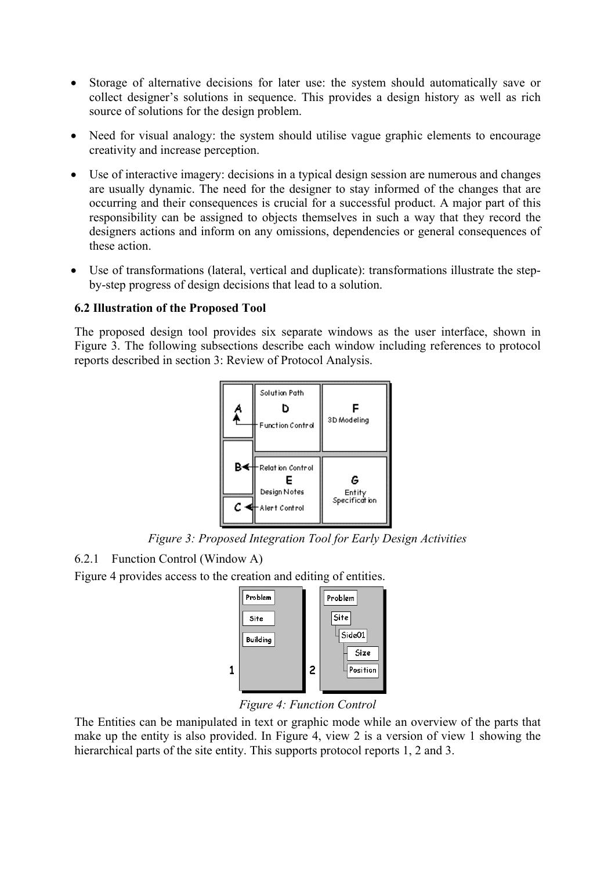- Storage of alternative decisions for later use: the system should automatically save or collect designer's solutions in sequence. This provides a design history as well as rich source of solutions for the design problem.
- Need for visual analogy: the system should utilise vague graphic elements to encourage creativity and increase perception.
- Use of interactive imagery: decisions in a typical design session are numerous and changes are usually dynamic. The need for the designer to stay informed of the changes that are occurring and their consequences is crucial for a successful product. A major part of this responsibility can be assigned to objects themselves in such a way that they record the designers actions and inform on any omissions, dependencies or general consequences of these action.
- Use of transformations (lateral, vertical and duplicate): transformations illustrate the stepby-step progress of design decisions that lead to a solution.

#### **6.2 Illustration of the Proposed Tool**

The proposed design tool provides six separate windows as the user interface, shown in Figure 3. The following subsections describe each window including references to protocol reports described in section 3: Review of Protocol Analysis.



*Figure 3: Proposed Integration Tool for Early Design Activities*

#### 6.2.1 Function Control (Window A)

Figure 4 provides access to the creation and editing of entities.



*Figure 4: Function Control* 

The Entities can be manipulated in text or graphic mode while an overview of the parts that make up the entity is also provided. In Figure 4, view 2 is a version of view 1 showing the hierarchical parts of the site entity. This supports protocol reports 1, 2 and 3.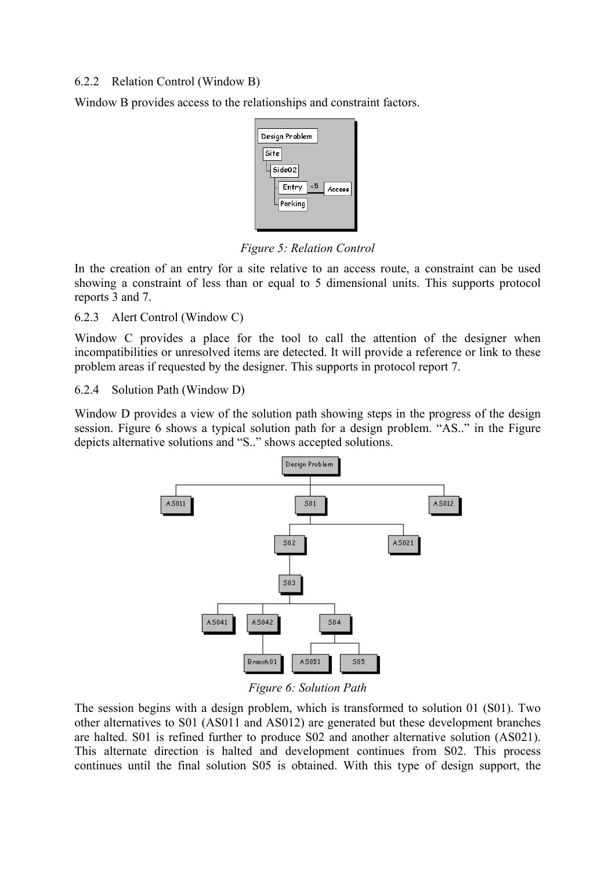#### 6.2.2 Relation Control (Window B)

Window B provides access to the relationships and constraint factors.

| Design Problem                                           |
|----------------------------------------------------------|
| Site<br>Side02<br>$\leq 5$<br>Entry<br>Access<br>Parking |

*Figure 5: Relation Control* 

In the creation of an entry for a site relative to an access route, a constraint can be used showing a constraint of less than or equal to 5 dimensional units. This supports protocol reports 3 and 7.

6.2.3 Alert Control (Window C)

Window C provides a place for the tool to call the attention of the designer when incompatibilities or unresolved items are detected. It will provide a reference or link to these problem areas if requested by the designer. This supports in protocol report 7.

6.2.4 Solution Path (Window D)

Window D provides a view of the solution path showing steps in the progress of the design session. Figure 6 shows a typical solution path for a design problem. "AS.." in the Figure depicts alternative solutions and "S.." shows accepted solutions.



*Figure 6: Solution Path* 

The session begins with a design problem, which is transformed to solution 01 (S01). Two other alternatives to S01 (AS011 and AS012) are generated but these development branches are halted. S01 is refined further to produce S02 and another alternative solution (AS021). This alternate direction is halted and development continues from S02. This process continues until the final solution S05 is obtained. With this type of design support, the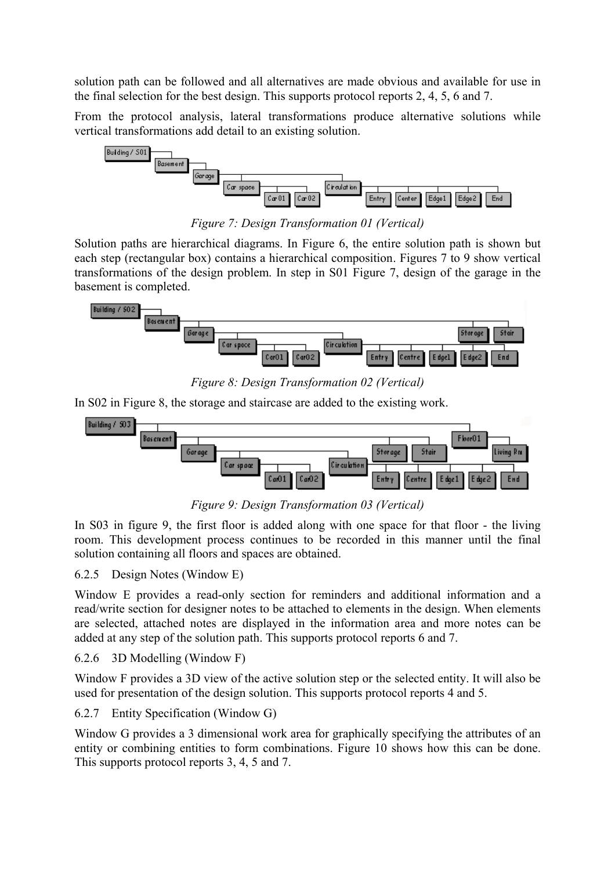solution path can be followed and all alternatives are made obvious and available for use in the final selection for the best design. This supports protocol reports 2, 4, 5, 6 and 7.

From the protocol analysis, lateral transformations produce alternative solutions while vertical transformations add detail to an existing solution.



*Figure 7: Design Transformation 01 (Vertical)*

Solution paths are hierarchical diagrams. In Figure 6, the entire solution path is shown but each step (rectangular box) contains a hierarchical composition. Figures 7 to 9 show vertical transformations of the design problem. In step in S01 Figure 7, design of the garage in the basement is completed.



*Figure 8: Design Transformation 02 (Vertical)*

In S02 in Figure 8, the storage and staircase are added to the existing work.



*Figure 9: Design Transformation 03 (Vertical)*

In S03 in figure 9, the first floor is added along with one space for that floor - the living room. This development process continues to be recorded in this manner until the final solution containing all floors and spaces are obtained.

## 6.2.5 Design Notes (Window E)

Window E provides a read-only section for reminders and additional information and a read/write section for designer notes to be attached to elements in the design. When elements are selected, attached notes are displayed in the information area and more notes can be added at any step of the solution path. This supports protocol reports 6 and 7.

6.2.6 3D Modelling (Window F)

Window F provides a 3D view of the active solution step or the selected entity. It will also be used for presentation of the design solution. This supports protocol reports 4 and 5.

# 6.2.7 Entity Specification (Window G)

Window G provides a 3 dimensional work area for graphically specifying the attributes of an entity or combining entities to form combinations. Figure 10 shows how this can be done. This supports protocol reports 3, 4, 5 and 7.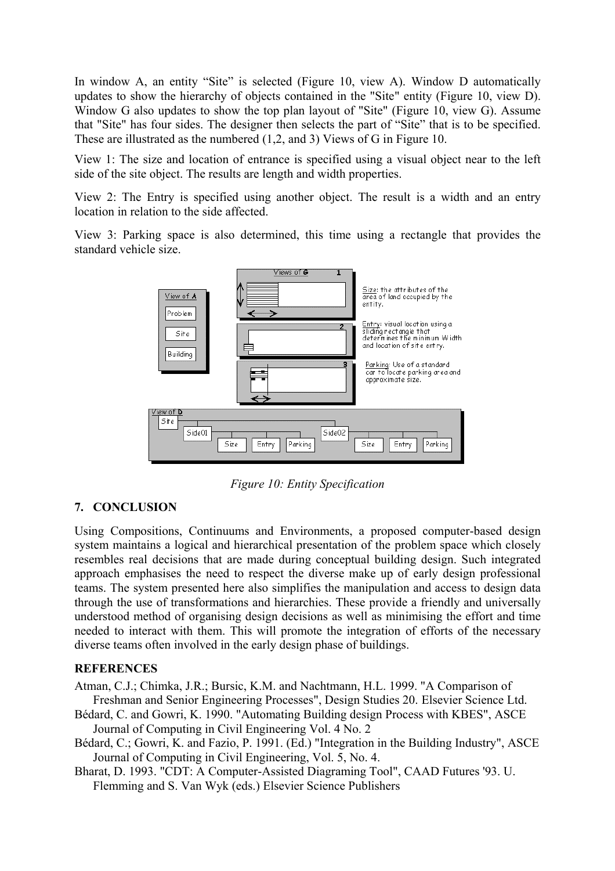In window A, an entity "Site" is selected (Figure 10, view A). Window D automatically updates to show the hierarchy of objects contained in the "Site" entity (Figure 10, view D). Window G also updates to show the top plan layout of "Site" (Figure 10, view G). Assume that "Site" has four sides. The designer then selects the part of "Site" that is to be specified. These are illustrated as the numbered (1,2, and 3) Views of G in Figure 10.

View 1: The size and location of entrance is specified using a visual object near to the left side of the site object. The results are length and width properties.

View 2: The Entry is specified using another object. The result is a width and an entry location in relation to the side affected.

View 3: Parking space is also determined, this time using a rectangle that provides the standard vehicle size.



*Figure 10: Entity Specification* 

#### **7. CONCLUSION**

Using Compositions, Continuums and Environments, a proposed computer-based design system maintains a logical and hierarchical presentation of the problem space which closely resembles real decisions that are made during conceptual building design. Such integrated approach emphasises the need to respect the diverse make up of early design professional teams. The system presented here also simplifies the manipulation and access to design data through the use of transformations and hierarchies. These provide a friendly and universally understood method of organising design decisions as well as minimising the effort and time needed to interact with them. This will promote the integration of efforts of the necessary diverse teams often involved in the early design phase of buildings.

#### **REFERENCES**

- Atman, C.J.; Chimka, J.R.; Bursic, K.M. and Nachtmann, H.L. 1999. "A Comparison of Freshman and Senior Engineering Processes", Design Studies 20. Elsevier Science Ltd.
- Bédard, C. and Gowri, K. 1990. "Automating Building design Process with KBES", ASCE Journal of Computing in Civil Engineering Vol. 4 No. 2
- Bédard, C.; Gowri, K. and Fazio, P. 1991. (Ed.) "Integration in the Building Industry", ASCE Journal of Computing in Civil Engineering, Vol. 5, No. 4.
- Bharat, D. 1993. "CDT: A Computer-Assisted Diagraming Tool", CAAD Futures '93. U. Flemming and S. Van Wyk (eds.) Elsevier Science Publishers